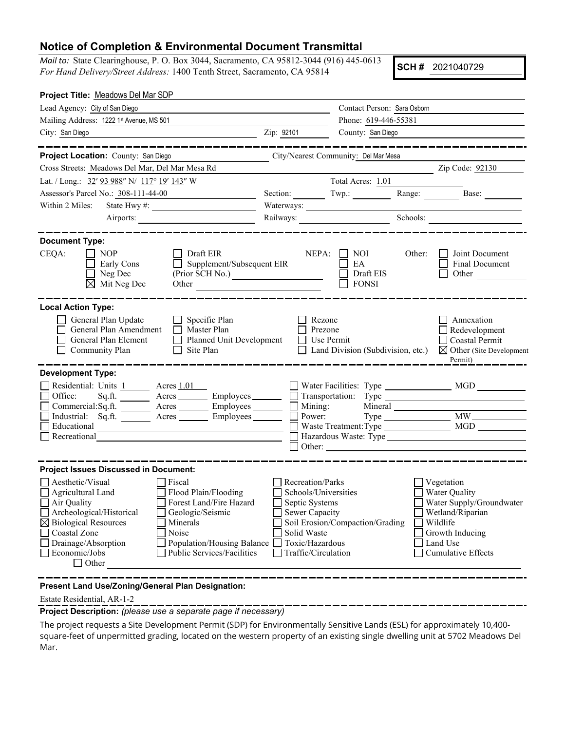## **Notice of Completion & Environmental Document Transmittal**

*Mail to:* State Clearinghouse, P. O. Box 3044, Sacramento, CA 95812-3044 (916) 445-0613 *For Hand Delivery/Street Address:* 1400 Tenth Street, Sacramento, CA 95814

**SCH #** 2021040729

| Project Title: Meadows Del Mar SDP                                                                                                                                                                                                                                                                                                                                                                                                          |                                                                                                                                       |                                          |                                                                                                                                                     |
|---------------------------------------------------------------------------------------------------------------------------------------------------------------------------------------------------------------------------------------------------------------------------------------------------------------------------------------------------------------------------------------------------------------------------------------------|---------------------------------------------------------------------------------------------------------------------------------------|------------------------------------------|-----------------------------------------------------------------------------------------------------------------------------------------------------|
| Lead Agency: City of San Diego                                                                                                                                                                                                                                                                                                                                                                                                              |                                                                                                                                       | Contact Person: Sara Osborn              |                                                                                                                                                     |
| Mailing Address: 1222 1st Avenue, MS 501                                                                                                                                                                                                                                                                                                                                                                                                    |                                                                                                                                       | Phone: 619-446-55381                     |                                                                                                                                                     |
| City: San Diego                                                                                                                                                                                                                                                                                                                                                                                                                             | Zip: 92101                                                                                                                            | County: San Diego                        |                                                                                                                                                     |
|                                                                                                                                                                                                                                                                                                                                                                                                                                             |                                                                                                                                       |                                          | ______________                                                                                                                                      |
| Project Location: County: San Diego<br>City/Nearest Community: Del Mar Mesa                                                                                                                                                                                                                                                                                                                                                                 |                                                                                                                                       |                                          |                                                                                                                                                     |
| Cross Streets: Meadows Del Mar, Del Mar Mesa Rd                                                                                                                                                                                                                                                                                                                                                                                             |                                                                                                                                       |                                          | Zip Code: 92130                                                                                                                                     |
| Lat. / Long.: 32' 93 988" N/ 117° 19' 143" W                                                                                                                                                                                                                                                                                                                                                                                                |                                                                                                                                       | Total Acres: 1.01                        |                                                                                                                                                     |
| Assessor's Parcel No.: 308-111-44-00                                                                                                                                                                                                                                                                                                                                                                                                        | Section: $Twp.:$                                                                                                                      |                                          | Range:<br>Base:                                                                                                                                     |
| Within 2 Miles:<br>State Hwy #:                                                                                                                                                                                                                                                                                                                                                                                                             | Waterways:                                                                                                                            |                                          |                                                                                                                                                     |
|                                                                                                                                                                                                                                                                                                                                                                                                                                             |                                                                                                                                       |                                          | Schools:                                                                                                                                            |
| <b>Document Type:</b><br>CEQA:<br>    NOP<br>Draft EIR<br>Supplement/Subsequent EIR<br>Early Cons<br>$\Box$ Neg Dec<br>(Prior SCH No.)<br>$\boxtimes$ Mit Neg Dec<br>Other                                                                                                                                                                                                                                                                  | NEPA:                                                                                                                                 | NOI -<br>EA<br>Draft EIS<br><b>FONSI</b> | Other:<br>Joint Document<br>Final Document<br>Other                                                                                                 |
| <b>Local Action Type:</b><br>General Plan Update<br>$\Box$ Specific Plan<br>General Plan Amendment   Master Plan<br>Planned Unit Development<br>General Plan Element<br>Community Plan<br>$\Box$ Site Plan                                                                                                                                                                                                                                  | Rezone<br>Prezone<br>$\Box$ Use Permit                                                                                                | $\Box$ Land Division (Subdivision, etc.) | Annexation<br>$\Box$ Redevelopment<br>Coastal Permit<br>$\boxtimes$ Other (Site Development<br>Permit)                                              |
| <b>Development Type:</b><br>Residential: Units 1 Acres 1.01<br>$Sq.ft.$ $\overline{\qquad \qquad}$ Acres $\overline{\qquad \qquad}$ Employees $\overline{\qquad \qquad}$<br>Office:<br>Educational<br>Recreational                                                                                                                                                                                                                          |                                                                                                                                       |                                          |                                                                                                                                                     |
| <b>Project Issues Discussed in Document:</b><br>Aesthetic/Visual<br>  Fiscal<br>Flood Plain/Flooding<br>Agricultural Land<br>$\mathbb{R}^n$<br>Forest Land/Fire Hazard<br>□ Air Quality<br>Archeological/Historical<br>Geologic/Seismic<br>$\boxtimes$ Biological Resources<br>Minerals<br>Coastal Zone<br>Noise<br>Drainage/Absorption<br>Population/Housing Balance<br>Economic/Jobs<br><b>Public Services/Facilities</b><br>$\Box$ Other | Recreation/Parks<br>Schools/Universities<br>Septic Systems<br>Sewer Capacity<br>Solid Waste<br>Toxic/Hazardous<br>Traffic/Circulation | Soil Erosion/Compaction/Grading          | Vegetation<br>Water Quality<br>Water Supply/Groundwater<br>$\Box$ Wetland/Riparian<br>Wildlife<br>Growth Inducing<br>Land Use<br>Cumulative Effects |

**Present Land Use/Zoning/General Plan Designation:**

Estate Residential, AR-1-2

**Project Description:** *(please use a separate page if necessary)*

The project requests a Site Development Permit (SDP) for Environmentally Sensitive Lands (ESL) for approximately 10,400 square-feet of unpermitted grading, located on the western property of an existing single dwelling unit at 5702 Meadows Del Mar.